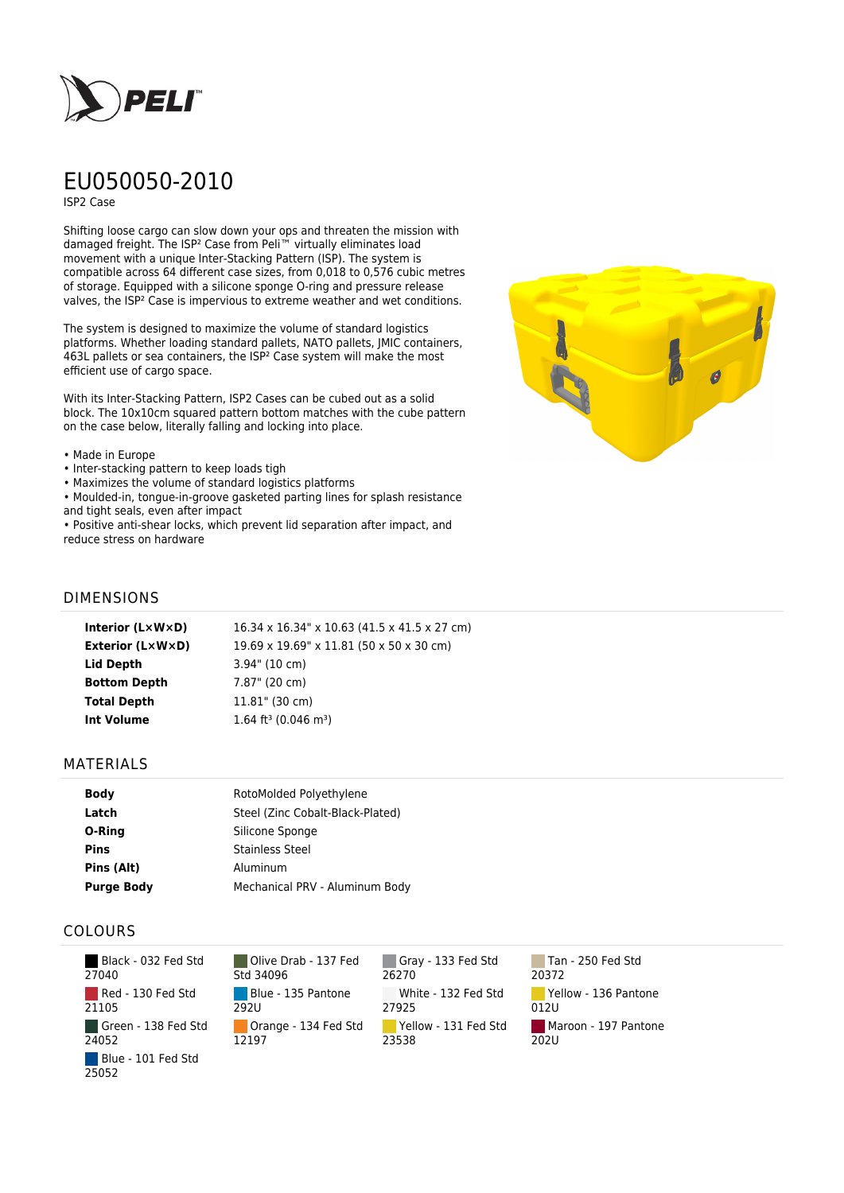

# EU050050-2010

ISP2 Case

Shifting loose cargo can slow down your ops and threaten the mission with damaged freight. The ISP² Case from Peli™ virtually eliminates load movement with a unique Inter-Stacking Pattern (ISP). The system is compatible across 64 different case sizes, from 0,018 to 0,576 cubic metres of storage. Equipped with a silicone sponge O-ring and pressure release valves, the ISP² Case is impervious to extreme weather and wet conditions.

The system is designed to maximize the volume of standard logistics platforms. Whether loading standard pallets, NATO pallets, JMIC containers, 463L pallets or sea containers, the ISP² Case system will make the most efficient use of cargo space.

With its Inter-Stacking Pattern, ISP2 Cases can be cubed out as a solid block. The 10x10cm squared pattern bottom matches with the cube pattern on the case below, literally falling and locking into place.

#### • Made in Europe

- Inter-stacking pattern to keep loads tigh
- Maximizes the volume of standard logistics platforms
- Moulded-in, tongue-in-groove gasketed parting lines for splash resistance and tight seals, even after impact

• Positive anti-shear locks, which prevent lid separation after impact, and reduce stress on hardware



## DIMENSIONS

| Interior (LxWxD)    | 16.34 x 16.34" x 10.63 (41.5 x 41.5 x 27 cm) |
|---------------------|----------------------------------------------|
| Exterior (L×W×D)    | 19.69 x 19.69" x 11.81 (50 x 50 x 30 cm)     |
| Lid Depth           | $3.94$ " (10 cm)                             |
| <b>Bottom Depth</b> | 7.87" (20 cm)                                |
| <b>Total Depth</b>  | $11.81$ " (30 cm)                            |
| Int Volume          | 1.64 ft <sup>3</sup> (0.046 m <sup>3</sup> ) |
|                     |                                              |

### MATERIALS

| <b>Body</b>       | RotoMolded Polyethylene          |
|-------------------|----------------------------------|
| Latch             | Steel (Zinc Cobalt-Black-Plated) |
| O-Ring            | Silicone Sponge                  |
| <b>Pins</b>       | <b>Stainless Steel</b>           |
| Pins (Alt)        | Aluminum                         |
| <b>Purge Body</b> | Mechanical PRV - Aluminum Body   |

## COLOURS

| Black - 032 Fed Std<br>27040 |
|------------------------------|
| Red - 130 Fed Std<br>21105   |
| Green - 138 Fed Std<br>24052 |
| Blue - 101 Fed Std<br>25052  |

Olive Drab - 137 Fed Std 34096 Blue - 135 Pantone 292U Orange - 134 Fed Std 12197

Gray - 133 Fed Std 26270 White - 132 Fed Std 27925 Yellow - 131 Fed Std 23538

Tan - 250 Fed Std 20372 Yellow - 136 Pantone 012U Maroon - 197 Pantone 202U